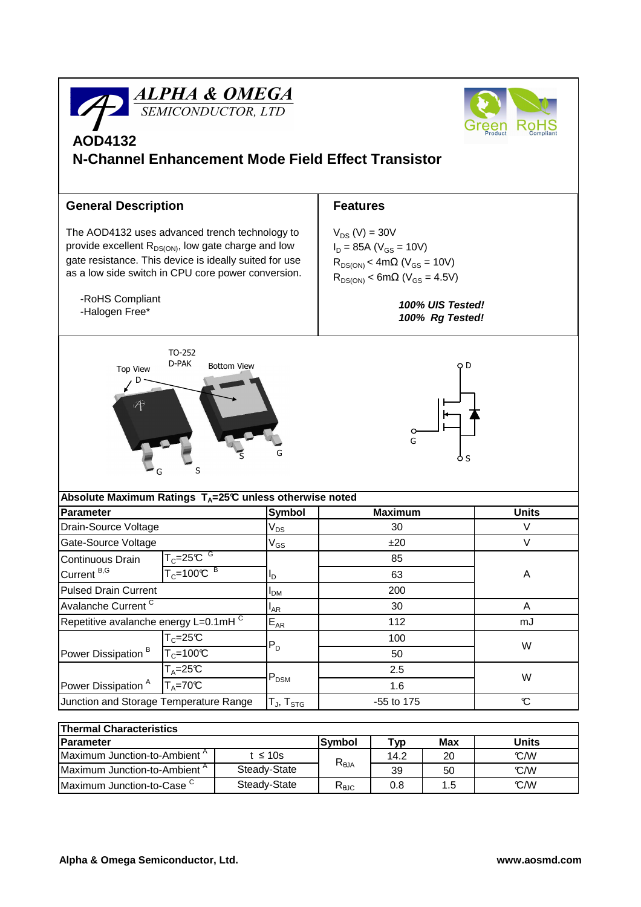

| <b>Thermal Characteristics</b>           |               |                                   |      |     |       |  |  |  |  |
|------------------------------------------|---------------|-----------------------------------|------|-----|-------|--|--|--|--|
| <b>IParameter</b>                        |               | lSvmbol                           | тур  | Max | Units |  |  |  |  |
| Maximum Junction-to-Ambient <sup>"</sup> | t $\leq 10$ s | $\mathsf{R}_{\theta \mathsf{JA}}$ | 14.2 | 20  | C/W   |  |  |  |  |
| Maximum Junction-to-Ambient <sup>A</sup> | Steady-State  |                                   | 39   | 50  | °C/W  |  |  |  |  |
| Maximum Junction-to-Case $\sim$          | Steady-State  | $R_{\theta$ JC                    | 0.8  | 1.5 | C/W   |  |  |  |  |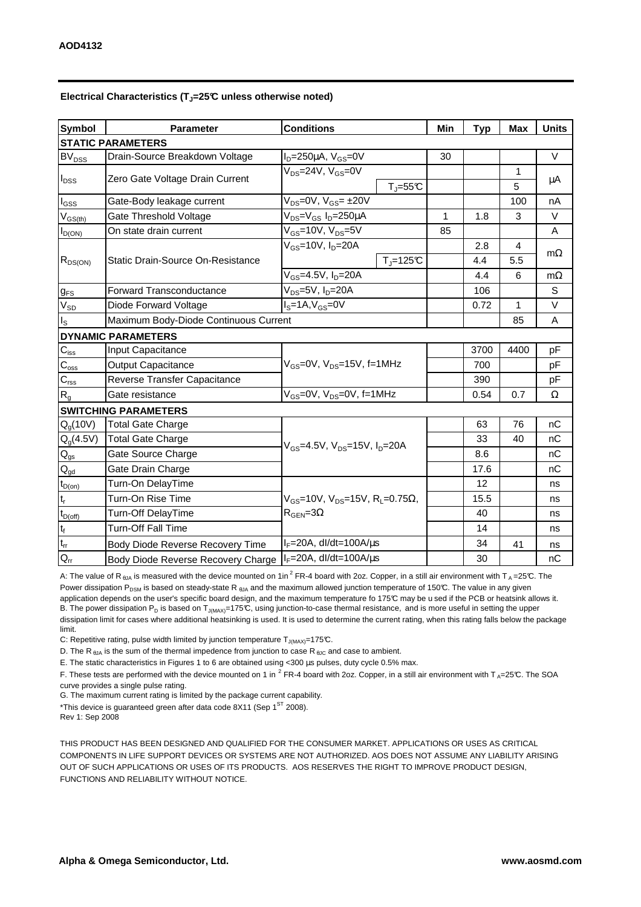| <b>Symbol</b>               | <b>Conditions</b><br><b>Parameter</b> |                                                               | Min | <b>Typ</b> | <b>Max</b> | <b>Units</b> |  |  |  |  |
|-----------------------------|---------------------------------------|---------------------------------------------------------------|-----|------------|------------|--------------|--|--|--|--|
| <b>STATIC PARAMETERS</b>    |                                       |                                                               |     |            |            |              |  |  |  |  |
| <b>BV<sub>DSS</sub></b>     | Drain-Source Breakdown Voltage        | $I_D = 250 \mu A$ , $V_{GS} = 0V$                             | 30  |            |            | $\vee$       |  |  |  |  |
| $I_{DSS}$                   | Zero Gate Voltage Drain Current       | $V_{DS} = 24V$ , $V_{GS} = 0V$                                |     |            | 1          | μA           |  |  |  |  |
|                             |                                       | $T_{J} = 55C$                                                 |     |            | 5          |              |  |  |  |  |
| $I_{GSS}$                   | Gate-Body leakage current             | $V_{DS}$ =0V, $V_{GS}$ = ±20V                                 |     |            | 100        | nA           |  |  |  |  |
| $\rm V_{GS(th)}$            | Gate Threshold Voltage                | V <sub>DS</sub> =V <sub>GS</sub> I <sub>D</sub> =250µA        | 1   | 1.8        | 3          | $\vee$       |  |  |  |  |
| $I_{D(ON)}$                 | On state drain current                | $V_{GS}$ =10V, $V_{DS}$ =5V                                   | 85  |            |            | Α            |  |  |  |  |
| $R_{DS(ON)}$                | Static Drain-Source On-Resistance     | $V_{GS}$ =10V, $I_D$ =20A                                     |     | 2.8        | 4          | $m\Omega$    |  |  |  |  |
|                             |                                       | $T_J = 125C$                                                  |     | 4.4        | 5.5        |              |  |  |  |  |
|                             |                                       | $V_{GS} = 4.5V, I_D = 20A$                                    |     | 4.4        | 6          | $m\Omega$    |  |  |  |  |
| $g_{FS}$                    | <b>Forward Transconductance</b>       | $V_{DS}=5V$ , $I_D=20A$                                       |     | 106        |            | S            |  |  |  |  |
| $V_{SD}$                    | Diode Forward Voltage                 | $IS=1A, VGS=0V$                                               |     | 0.72       | 1          | $\vee$       |  |  |  |  |
| $I_{\rm S}$                 | Maximum Body-Diode Continuous Current |                                                               |     |            | 85         | A            |  |  |  |  |
|                             | <b>DYNAMIC PARAMETERS</b>             |                                                               |     |            |            |              |  |  |  |  |
| $C_{\text{iss}}$            | <b>Input Capacitance</b>              |                                                               |     | 3700       | 4400       | pF           |  |  |  |  |
| $C_{\rm{oss}}$              | <b>Output Capacitance</b>             | $V_{GS}$ =0V, $V_{DS}$ =15V, f=1MHz                           |     | 700        |            | pF           |  |  |  |  |
| $C_{\rm rss}$               | Reverse Transfer Capacitance          |                                                               |     | 390        |            | pF           |  |  |  |  |
| $R_{g}$                     | Gate resistance                       | $V_{GS}$ =0V, $V_{DS}$ =0V, f=1MHz                            |     | 0.54       | 0.7        | Ω            |  |  |  |  |
| <b>SWITCHING PARAMETERS</b> |                                       |                                                               |     |            |            |              |  |  |  |  |
| Q <sub>a</sub> (10V)        | <b>Total Gate Charge</b>              |                                                               |     | 63         | 76         | nC           |  |  |  |  |
| $Q_g(4.5V)$                 | <b>Total Gate Charge</b>              | $V_{GS}$ =4.5V, $V_{DS}$ =15V, $I_{D}$ =20A                   |     | 33         | 40         | nC           |  |  |  |  |
| $Q_{gs}$                    | Gate Source Charge                    |                                                               |     | 8.6        |            | nC           |  |  |  |  |
| $Q_{gd}$                    | Gate Drain Charge                     |                                                               |     | 17.6       |            | nC           |  |  |  |  |
| $t_{D(on)}$                 | Turn-On DelayTime                     |                                                               |     | 12         |            | ns           |  |  |  |  |
| $t_r$                       | Turn-On Rise Time                     | $V_{GS}$ =10V, $V_{DS}$ =15V, R <sub>L</sub> =0.75 $\Omega$ , |     | 15.5       |            | ns           |  |  |  |  |
| $t_{D(\text{off})}$         | <b>Turn-Off DelayTime</b>             | $R_{\text{GEN}} = 3\Omega$                                    |     | 40         |            | ns           |  |  |  |  |
| $\mathbf{t}_\text{f}$       | <b>Turn-Off Fall Time</b>             |                                                               |     | 14         |            | ns           |  |  |  |  |
| $\mathfrak{t}_{\text{rr}}$  | Body Diode Reverse Recovery Time      | $I_F = 20A$ , dl/dt=100A/ $\mu$ s                             |     | 34         | 41         | ns           |  |  |  |  |
| $Q_{rr}$                    | Body Diode Reverse Recovery Charge    | $I_F = 20A$ , dl/dt=100A/ $\mu$ s                             |     | 30         |            | nC           |  |  |  |  |

A: The value of R<sub>BJA</sub> is measured with the device mounted on 1in<sup>2</sup> FR-4 board with 2oz. Copper, in a still air environment with T<sub>A</sub> = 25°C. The Power dissipation P<sub>DSM</sub> is based on steady-state R  $_{0JA}$  and the maximum allowed junction temperature of 150°C. The value in any given application depends on the user's specific board design, and the maximum temperature fo 175°C may be u sed if the PCB or heatsink allows it. B. The power dissipation P<sub>D</sub> is based on T<sub>J(MAX)</sub>=175°C, using junction-to-case thermal resistance, and is more useful in setting the upper dissipation limit for cases where additional heatsinking is used. It is used to determine the current rating, when this rating falls below the package limit.

C: Repetitive rating, pulse width limited by junction temperature  $T_{J(MAX)}$ =175°C.

D. The R<sub>6JA</sub> is the sum of the thermal impedence from junction to case R<sub>6JC</sub> and case to ambient.

E. The static characteristics in Figures 1 to 6 are obtained using <300 µs pulses, duty cycle 0.5% max.

F. These tests are performed with the device mounted on 1 in <sup>2</sup> FR-4 board with 2oz. Copper, in a still air environment with T<sub>A</sub>=25°C. The SOA curve provides a single pulse rating.

G. The maximum current rating is limited by the package current capability.

\*This device is guaranteed green after data code 8X11 (Sep  $1<sup>ST</sup>$  2008).

Rev 1: Sep 2008

THIS PRODUCT HAS BEEN DESIGNED AND QUALIFIED FOR THE CONSUMER MARKET. APPLICATIONS OR USES AS CRITICAL COMPONENTS IN LIFE SUPPORT DEVICES OR SYSTEMS ARE NOT AUTHORIZED. AOS DOES NOT ASSUME ANY LIABILITY ARISING OUT OF SUCH APPLICATIONS OR USES OF ITS PRODUCTS. AOS RESERVES THE RIGHT TO IMPROVE PRODUCT DESIGN, FUNCTIONS AND RELIABILITY WITHOUT NOTICE.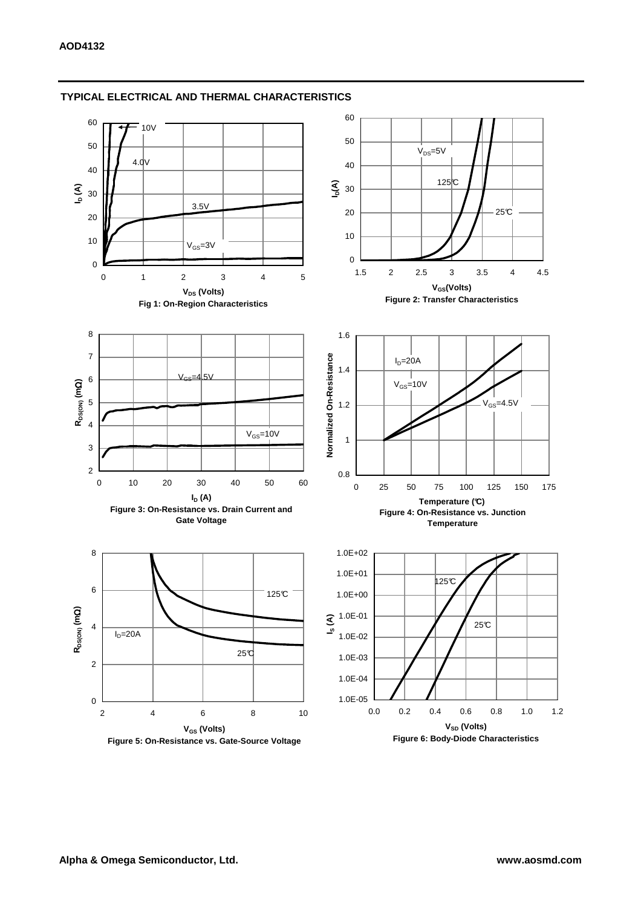

#### **TYPICAL ELECTRICAL AND THERMAL CHARACTERISTICS**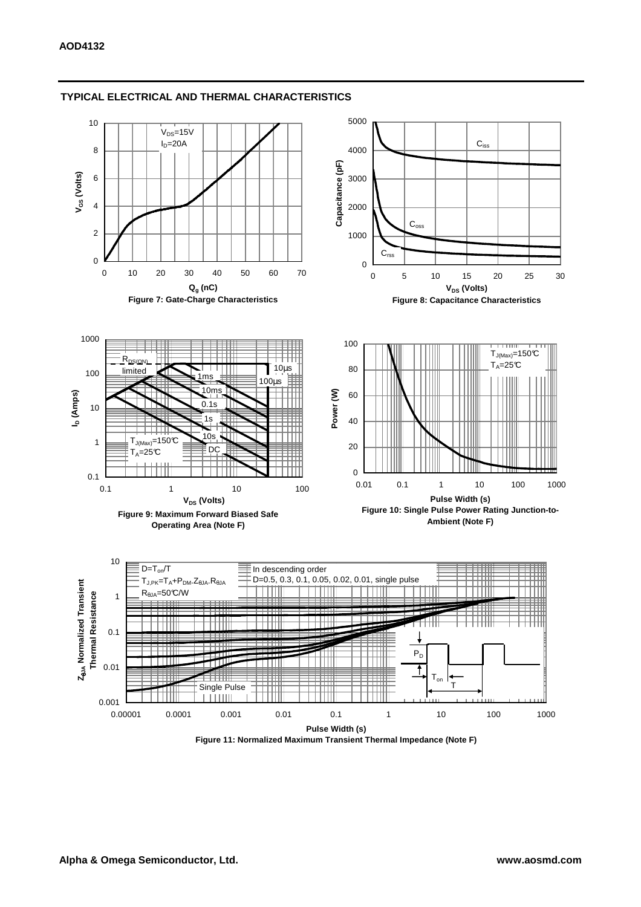

#### **TYPICAL ELECTRICAL AND THERMAL CHARACTERISTICS**

**Figure 11: Normalized Maximum Transient Thermal Impedance (Note F)**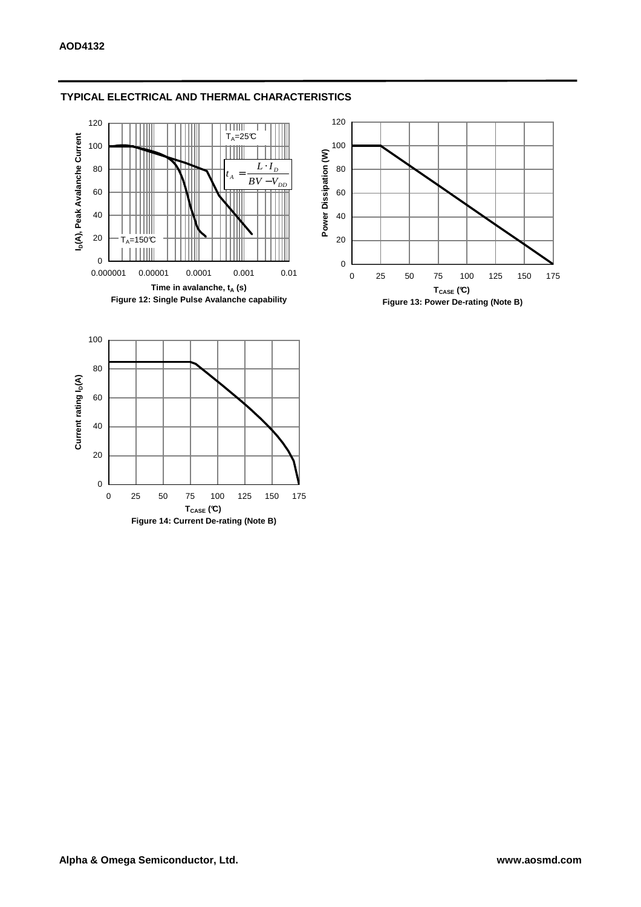

# **TYPICAL ELECTRICAL AND THERMAL CHARACTERISTICS**

0 25 50 75 100 125 150 175 **TCASE (°C) Figure 14: Current De-rating (Note B)**